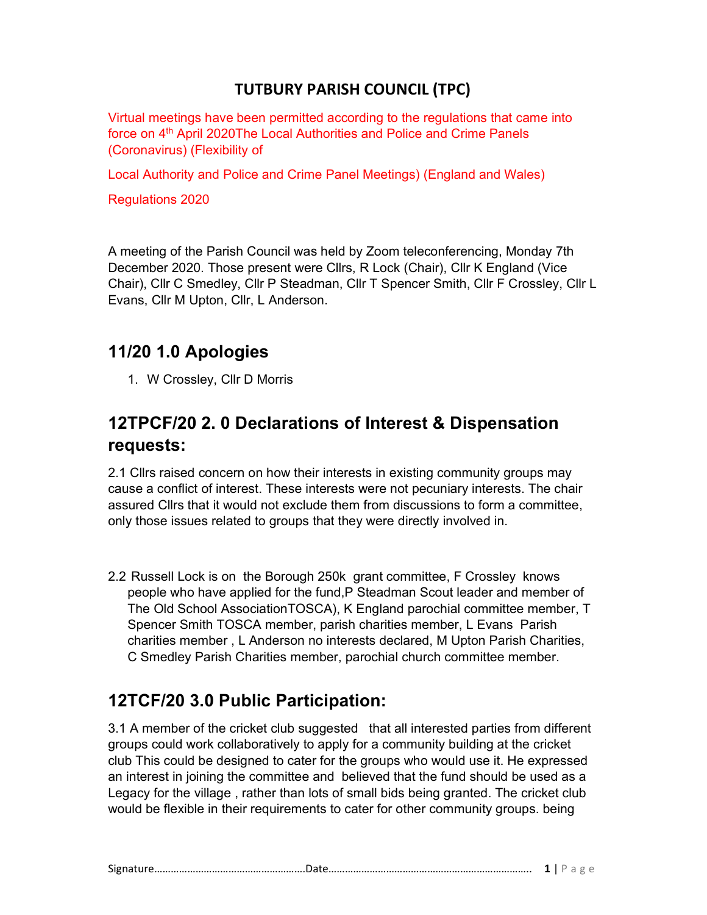#### TUTBURY PARISH COUNCIL (TPC)

Virtual meetings have been permitted according to the regulations that came into force on 4<sup>th</sup> April 2020The Local Authorities and Police and Crime Panels (Coronavirus) (Flexibility of

Local Authority and Police and Crime Panel Meetings) (England and Wales)

Regulations 2020

A meeting of the Parish Council was held by Zoom teleconferencing, Monday 7th December 2020. Those present were Cllrs, R Lock (Chair), Cllr K England (Vice Chair), Cllr C Smedley, Cllr P Steadman, Cllr T Spencer Smith, Cllr F Crossley, Cllr L Evans, Cllr M Upton, Cllr, L Anderson.

#### 11/20 1.0 Apologies

1. W Crossley, Cllr D Morris

### 12TPCF/20 2. 0 Declarations of Interest & Dispensation requests:

2.1 Cllrs raised concern on how their interests in existing community groups may cause a conflict of interest. These interests were not pecuniary interests. The chair assured Cllrs that it would not exclude them from discussions to form a committee, only those issues related to groups that they were directly involved in.

2.2 Russell Lock is on the Borough 250k grant committee, F Crossley knows people who have applied for the fund,P Steadman Scout leader and member of The Old School AssociationTOSCA), K England parochial committee member, T Spencer Smith TOSCA member, parish charities member, L Evans Parish charities member , L Anderson no interests declared, M Upton Parish Charities, C Smedley Parish Charities member, parochial church committee member.

### 12TCF/20 3.0 Public Participation:

3.1 A member of the cricket club suggested that all interested parties from different groups could work collaboratively to apply for a community building at the cricket club This could be designed to cater for the groups who would use it. He expressed an interest in joining the committee and believed that the fund should be used as a Legacy for the village , rather than lots of small bids being granted. The cricket club would be flexible in their requirements to cater for other community groups. being

| - -<br>שור. |  |
|-------------|--|
|-------------|--|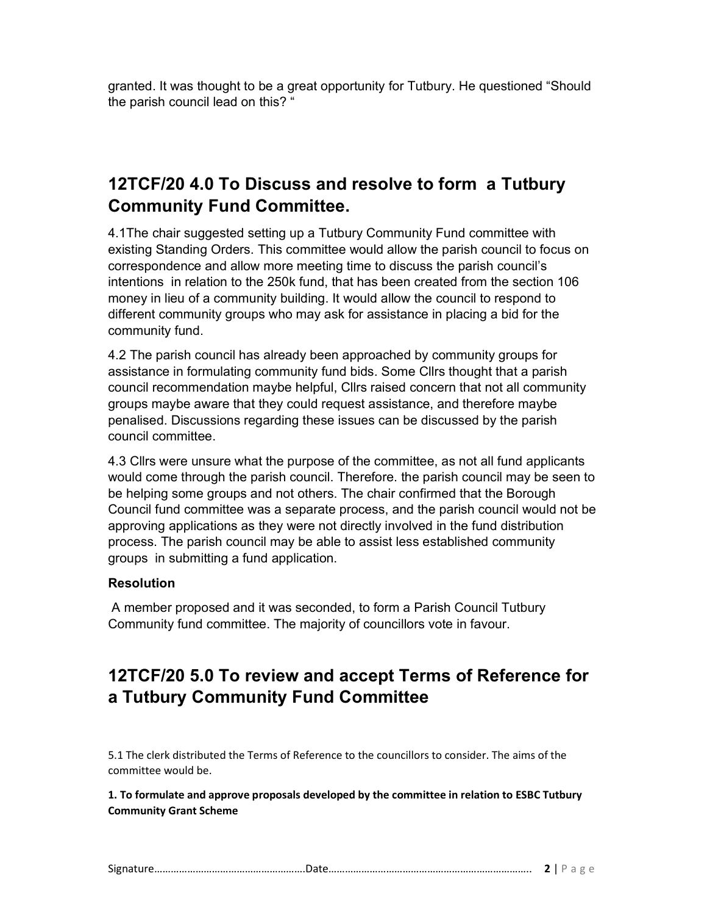granted. It was thought to be a great opportunity for Tutbury. He questioned "Should the parish council lead on this? "

## 12TCF/20 4.0 To Discuss and resolve to form a Tutbury Community Fund Committee.

4.1The chair suggested setting up a Tutbury Community Fund committee with existing Standing Orders. This committee would allow the parish council to focus on correspondence and allow more meeting time to discuss the parish council's intentions in relation to the 250k fund, that has been created from the section 106 money in lieu of a community building. It would allow the council to respond to different community groups who may ask for assistance in placing a bid for the community fund.

4.2 The parish council has already been approached by community groups for assistance in formulating community fund bids. Some Cllrs thought that a parish council recommendation maybe helpful, Cllrs raised concern that not all community groups maybe aware that they could request assistance, and therefore maybe penalised. Discussions regarding these issues can be discussed by the parish council committee.

4.3 Cllrs were unsure what the purpose of the committee, as not all fund applicants would come through the parish council. Therefore. the parish council may be seen to be helping some groups and not others. The chair confirmed that the Borough Council fund committee was a separate process, and the parish council would not be approving applications as they were not directly involved in the fund distribution process. The parish council may be able to assist less established community groups in submitting a fund application.

#### Resolution

 A member proposed and it was seconded, to form a Parish Council Tutbury Community fund committee. The majority of councillors vote in favour.

# 12TCF/20 5.0 To review and accept Terms of Reference for a Tutbury Community Fund Committee

5.1 The clerk distributed the Terms of Reference to the councillors to consider. The aims of the committee would be.

1. To formulate and approve proposals developed by the committee in relation to ESBC Tutbury Community Grant Scheme

| $\sim$<br>512 |  |
|---------------|--|
|---------------|--|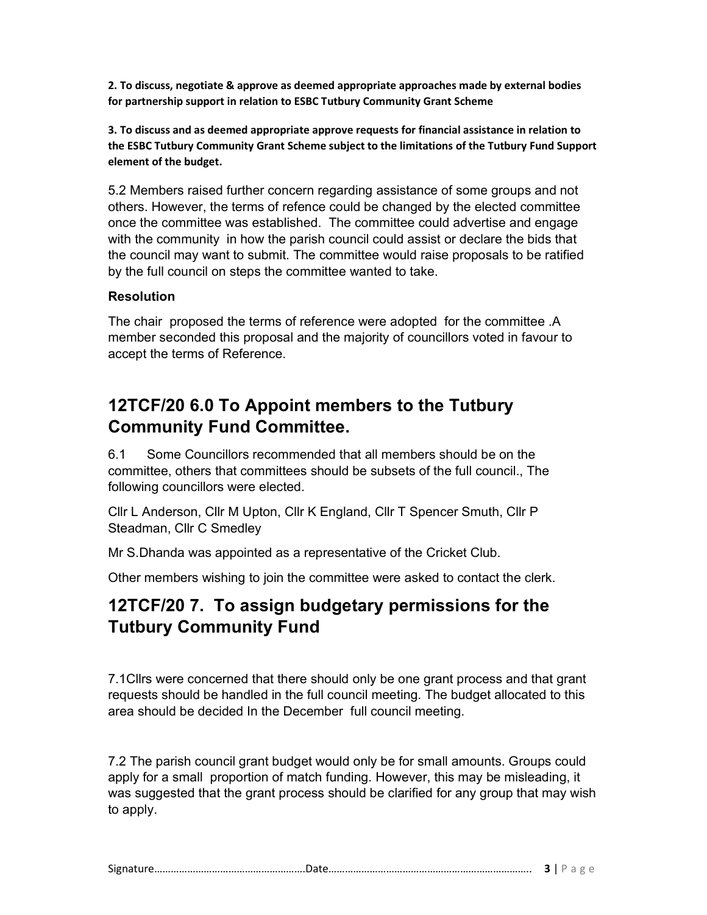2. To discuss, negotiate & approve as deemed appropriate approaches made by external bodies for partnership support in relation to ESBC Tutbury Community Grant Scheme

3. To discuss and as deemed appropriate approve requests for financial assistance in relation to the ESBC Tutbury Community Grant Scheme subject to the limitations of the Tutbury Fund Support element of the budget.

5.2 Members raised further concern regarding assistance of some groups and not others. However, the terms of refence could be changed by the elected committee once the committee was established. The committee could advertise and engage with the community in how the parish council could assist or declare the bids that the council may want to submit. The committee would raise proposals to be ratified by the full council on steps the committee wanted to take.

#### Resolution

The chair proposed the terms of reference were adopted for the committee .A member seconded this proposal and the majority of councillors voted in favour to accept the terms of Reference.

# 12TCF/20 6.0 To Appoint members to the Tutbury Community Fund Committee.

6.1 Some Councillors recommended that all members should be on the committee, others that committees should be subsets of the full council., The following councillors were elected.

Cllr L Anderson, Cllr M Upton, Cllr K England, Cllr T Spencer Smuth, Cllr P Steadman, Cllr C Smedley

Mr S.Dhanda was appointed as a representative of the Cricket Club.

Other members wishing to join the committee were asked to contact the clerk.

# 12TCF/20 7. To assign budgetary permissions for the Tutbury Community Fund

7.1Cllrs were concerned that there should only be one grant process and that grant requests should be handled in the full council meeting. The budget allocated to this area should be decided In the December full council meeting.

7.2 The parish council grant budget would only be for small amounts. Groups could apply for a small proportion of match funding. However, this may be misleading, it was suggested that the grant process should be clarified for any group that may wish to apply.